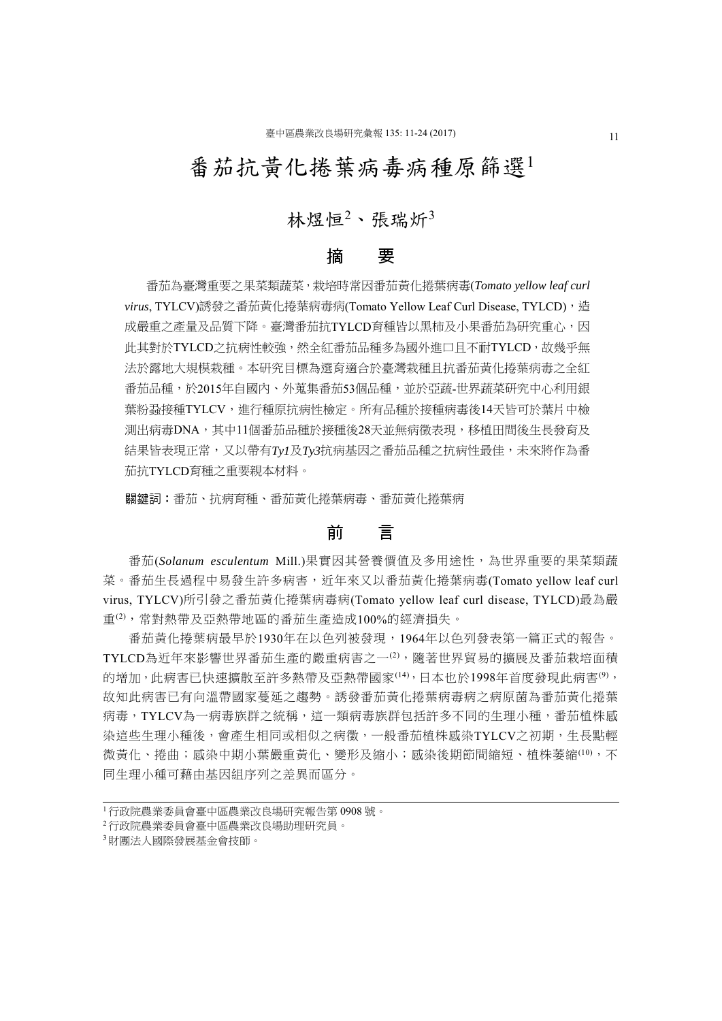# 番茄抗黃化捲葉病毒病種原篩選<sup>1</sup>

# 林煜恒 $2 \cdot$ 張瑞炘 $3$

### 摘 要

番茄為臺灣重要之果菜類蔬菜,栽培時常因番茄黃化捲葉病毒(*Tomato yellow leaf curl virus*, TYLCV)誘發之番茄黃化捲葉病毒病(Tomato Yellow Leaf Curl Disease, TYLCD),造 成嚴重之產量及品質下降。臺灣番茄抗TYLCD育種皆以黑柿及小果番茄為研究重心,因 此其對於TYLCD之抗病性較強,然全紅番茄品種多為國外進口且不耐TYLCD,故幾乎無 法於露地大規模栽種。本研究目標為選育滴合於臺灣栽種目抗番茄黃化捲葉病毒之全紅 番茄品種,於2015年自國內、外蒐集番茄53個品種,並於亞蔬-世界蔬菜研究中心利用銀 葉粉蝨接種TYLCV,進行種原抗病性檢定。所有品種於接種病毒後14天皆可於葉片中檢 測出病毒DNA,其中11個番茄品種於接種後28天並無病徵表現,移植田間後生長發育及 結果皆表現正常,又以帶有*Ty1*及*Ty3*抗病基因之番茄品種之抗病性最佳,未來將作為番 茄抗TYLCD育種之重要親本材料。

關鍵詞:番茄、抗病育種、番茄黃化捲葉病毒、番茄黃化捲葉病

# 前 言

番茄(*Solanum esculentum* Mill.)果實因其營養價值及多用途性,為世界重要的果菜類蔬 菜。番茄生長過程中易發生許多病害,近年來又以番茄黃化捲葉病毒(Tomato yellow leaf curl virus, TYLCV)所引發之番茄黃化捲葉病毒病(Tomato yellow leaf curl disease, TYLCD)最為嚴 重(2),常對熱帶及亞熱帶地區的番茄生產造成100%的經濟損失。

番茄黃化捲葉病最早於1930年在以色列被發現,1964年以色列發表第一篇正式的報告。 TYLCD為近年來影響世界番茄生產的嚴重病害之一<sup>(2),</sup>隨著世界貿易的擴展及番茄栽培面積 的增加,此病害已快速擴散至許多熱帶及亞熱帶國家(14),日本也於1998年首度發現此病害(9), 故知此病害已有向溫帶國家蔓延之趨勢。誘發番茄黃化捲葉病毒病之病原菌為番茄黃化捲葉 病毒,TYLCV為一病毒族群之統稱,這一類病毒族群包括許多不同的生理小種,番茄植株感 染這些生理小種後,會產生相同或相似之病徵,一般番茄植株感染TYLCV之初期,生長點輕 微黃化、捲曲;感染中期小葉嚴重黃化、變形及縮小;感染後期節間縮短、植株萎縮(10),不 同生理小種可藉由基因組序列之差異而區分。

<sup>1</sup>行政院農業委員會臺中區農業改良場研究報告第 0908 號。

<sup>2</sup>行政院農業委員會臺中區農業改良場助理研究員。

<sup>3</sup>財團法人國際發展基金會技師。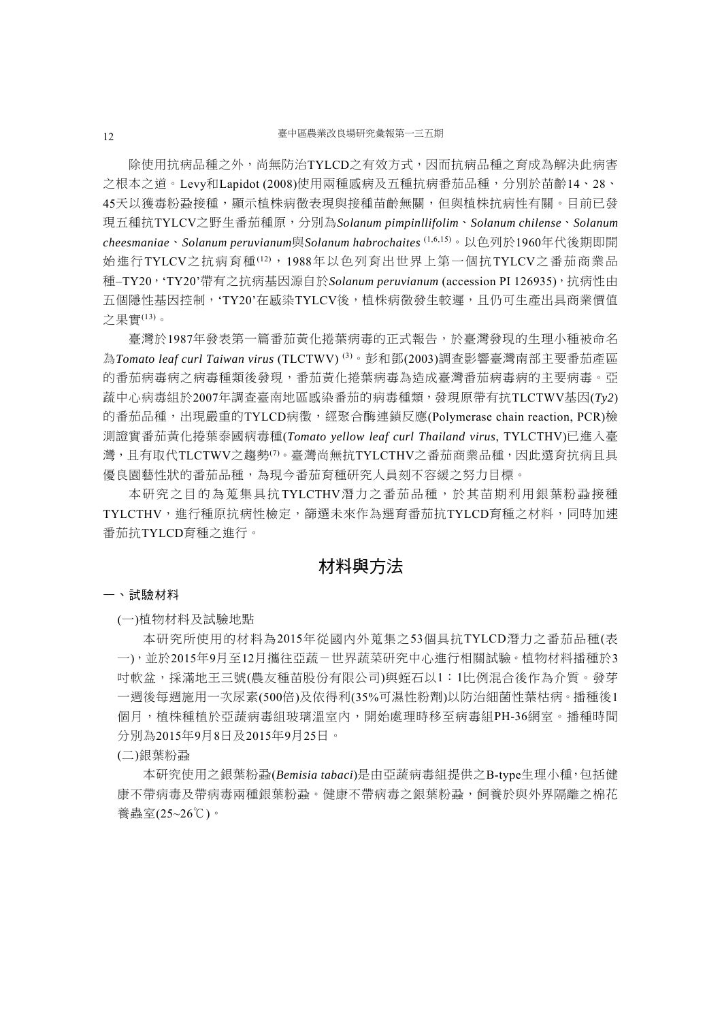除使用抗病品種之外,尚無防治TYLCD之有效方式,因而抗病品種之育成為解決此病害 之根本之道。Levy和Lapidot (2008)使用兩種感病及五種抗病番茄品種,分別於苗齡14、28、 45天以獲毒粉蝨接種,顯示植株病徵表現與接種苗齡無關,但與植株抗病性有關。目前已發 現五種抗TYLCV之野生番茄種原,分別為*Solanum pimpinllifolim*、*Solanum chilense*、*Solanum cheesmaniae*、*Solanum peruvianum*與*Solanum habrochaites* (1,6,15)。以色列於1960年代後期即開 始進行TYLCV之抗病育種(12),1988年以色列育出世界上第一個抗TYLCV之番茄商業品 種–TY20,'TY20'帶有之抗病基因源自於*Solanum peruvianum* (accession PI 126935),抗病性由 五個隱性基因控制,'TY20'在感染TYLCV後,植株病徵發生較遲,且仍可生產出具商業價值 之果實(13)。

臺灣於1987年發表第一篇番茄黃化捲葉病毒的正式報告,於臺灣發現的生理小種被命名 為*Tomato leaf curl Taiwan virus* (TLCTWV) (3)。彭和鄧(2003)調查影響臺灣南部主要番茄產區 的番茄病毒病之病毒復發發現,都布前黃化捲葉病毒為造成臺灣番茄病毒病的主要病毒。亞 蔬中心病毒組於2007年調查臺南地區感染番茄的病毒種類,發現原帶有抗TLCTWV基因(*Ty2*) 的番茄品種,出現嚴重的TYLCD病徵,經聚合酶連鎖反應(Polymerase chain reaction, PCR)檢 測證實番茄黃化捲葉泰國病毒種(*Tomato yellow leaf curl Thailand virus*, TYLCTHV)已進入臺 灣, 且有取代TLCTWV之趨勢<sup>(7)。</sup>臺灣尚無抗TYLCTHV之番茄商業品種,因此選育抗病且具 優良園藝性狀的番茄品種,為現今番茄育種研究人員刻不容緩之努力目標。

本研究之目的為蒐集具抗TYLCTHV潛力之番茄品種,於其苗期利用銀葉粉蝨接種 TYLCTHV,進行種原抗病性檢定,篩選未來作為選育番茄抗TYLCD育種之材料,同時加速 番茄抗TYLCD育種之進行。

## 材料與方法

#### 一、試驗材料

(一)植物材料及試驗地點

本研究所使用的材料為2015年從國內外蒐集之53個具抗TYLCD潛力之番茄品種(表 一),並於2015年9月至12月攜往亞蔬-世界蔬菜研究中心進行相關試驗。植物材料播種於3 吋軟盆,採滿地王三號(農友種苗股份有限公司)與蛭石以1:1比例混合後作為介質。發芽 一週後每週施用一次尿素(500倍)及依得利(35%可濕性粉劑)以防治細菌性葉枯病。播種後1 個月,植株種植於亞蔬病毒組玻璃溫室內,開始處理時移至病毒組PH-36網室。播種時間 分別為2015年9月8日及2015年9月25日。

(二)銀葉粉蝨

本研究使用之銀葉粉蝨(*Bemisia tabaci*)是由亞蔬病毒組提供之B-type生理小種,包括健 康不帶病毒及帶病毒顧舉新蝨。健康不帶病毒之銀葉粉蝨,飼養於與外界隔離之棉花 養蟲室(25~26℃)。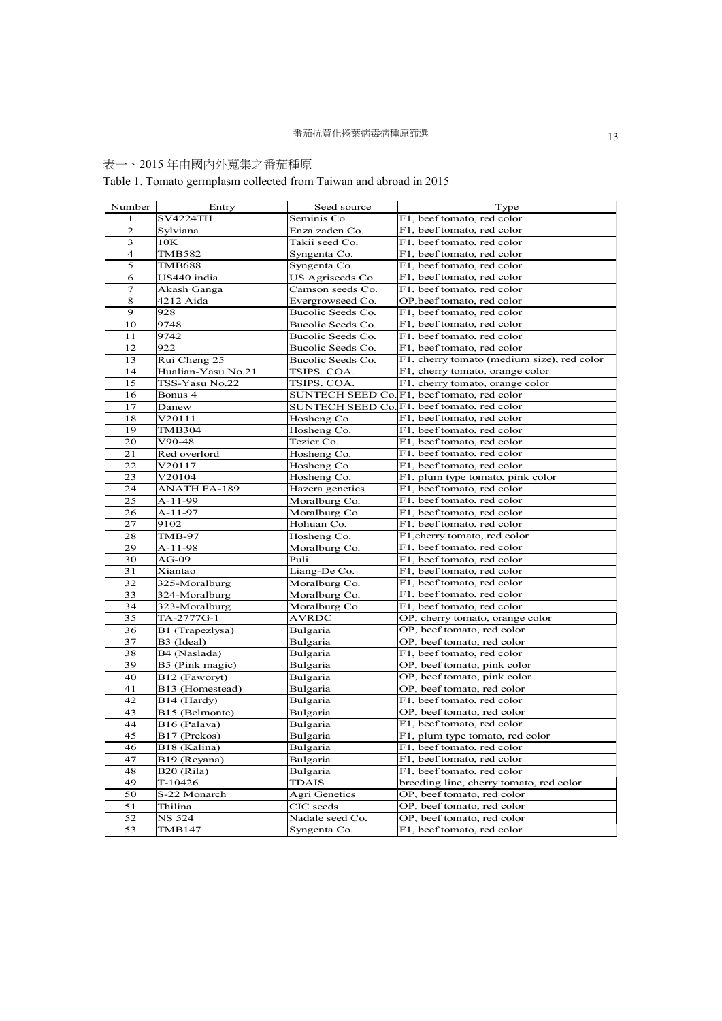# 表一、2015 年由國內外蒐集之番茄種原

Table 1. Tomato germplasm collected from Taiwan and abroad in 2015

| Number         | Entry                  | Seed source       | Type                                                     |
|----------------|------------------------|-------------------|----------------------------------------------------------|
| 1              | <b>SV4224TH</b>        | Seminis Co.       | F1, beef tomato, red color                               |
| $\overline{c}$ | Sylviana               | Enza zaden Co.    | F1, beef tomato, red color                               |
| 3              | 10K                    | Takii seed Co.    | F1, beef tomato, red color                               |
| $\overline{4}$ | <b>TMB582</b>          | Syngenta Co.      | F1, beef tomato, red color                               |
| 5              | <b>TMB688</b>          | Syngenta Co.      | F1, beef tomato, red color                               |
| 6              | US440 india            | US Agriseeds Co.  | F1, beef tomato, red color                               |
| $\overline{7}$ | Akash Ganga            | Camson seeds Co.  | F1, beef tomato, red color                               |
| 8              | 4212 Aida              | Evergrowseed Co.  | OP, beef tomato, red color                               |
| $\mathbf{Q}$   | 928                    | Bucolic Seeds Co. | F1, beef tomato, red color                               |
| 10             | 9748                   | Bucolic Seeds Co. | F1, beef tomato, red color                               |
| 11             | 9742                   | Bucolic Seeds Co. | F1, beef tomato, red color                               |
| 12             | 922                    | Bucolic Seeds Co. | F1, beef tomato, red color                               |
| 13             | Rui Cheng 25           | Bucolic Seeds Co. | F1, cherry tomato (medium size), red color               |
| 14             | Hualian-Yasu No.21     | TSIPS. COA.       | F1, cherry tomato, orange color                          |
| 15             | TSS-Yasu No.22         | TSIPS. COA.       | F1, cherry tomato, orange color                          |
| 16             | Bonus 4                |                   | SUNTECH SEED Co. F1, beef tomato, red color              |
| 17             | Danew                  |                   | SUNTECH SEED Co. <sup>[F1</sup> , beef tomato, red color |
| 18             | V20111                 | Hosheng Co.       | F1, beef tomato, red color                               |
| 19             | <b>TMB304</b>          | Hosheng Co.       | F1, beef tomato, red color                               |
| 20             | $V90-48$               | Tezier Co.        | F1, beef tomato, red color                               |
| 21             | Red overlord           | Hosheng Co.       | F1, beef tomato, red color                               |
| 22             | V20117                 | Hosheng Co.       | F1, beef tomato, red color                               |
| 23             | V20104                 | Hosheng Co.       | F1, plum type tomato, pink color                         |
| 24             | <b>ANATH FA-189</b>    | Hazera genetics   | F1, beef tomato, red color                               |
| 25             | A-11-99                | Moralburg Co.     | F1, beef tomato, red color                               |
| 26             | A-11-97                | Moralburg Co.     | F1, beef tomato, red color                               |
| 27             | 9102                   | Hohuan Co.        | F1, beef tomato, red color                               |
| 28             | TMB-97                 | Hosheng Co.       | F1, cherry tomato, red color                             |
| 29             | A-11-98                | Moralburg Co.     | F1, beef tomato, red color                               |
| 30             | <b>AG-09</b>           | Puli              | F1, beef tomato, red color                               |
| 31             | Xiantao                | Liang-De Co.      | F1, beef tomato, red color                               |
| 32             | 325-Moralburg          | Moralburg Co.     | F1, beef tomato, red color                               |
| 33             | 324-Moralburg          | Moralburg Co.     | F1, beef tomato, red color                               |
| 34             | 323-Moralburg          | Moralburg Co.     | F1, beef tomato, red color                               |
| 35             | TA-2777G-1             | AVRDC             | OP, cherry tomato, orange color                          |
| 36             | B1 (Trapezlysa)        | Bulgaria          | OP, beef tomato, red color                               |
| 37             | B3 (Ideal)             | Bulgaria          | OP, beef tomato, red color                               |
| 38             | B4 (Naslada)           | Bulgaria          | F1, beef tomato, red color                               |
| 39             | B5 (Pink magic)        | Bulgaria          | OP, beef tomato, pink color                              |
| 40             | B12 (Faworyt)          | Bulgaria          | OP, beef tomato, pink color                              |
| 41             | B13 (Homestead)        | Bulgaria          | OP, beef tomato, red color                               |
| 42             | B14 (Hardy)            | Bulgaria          | F1, beef tomato, red color                               |
| 43             | B15 (Belmonte)         | Bulgaria          | OP, beef tomato, red color                               |
| 44             | B16 (Palava)           | Bulgaria          | F1, beef tomato, red color                               |
| 45             | B17 (Prekos)           | Bulgaria          | F1, plum type tomato, red color                          |
| 46             | B18 (Kalina)           | Bulgaria          | F1, beef tomato, red color                               |
| 47             | B19 (Reyana)           | Bulgaria          | F1, beef tomato, red color                               |
| 48             | B <sub>20</sub> (Rila) | Bulgaria          | F1, beef tomato, red color                               |
| 49             | T-10426                | TDAIS             | breeding line, cherry tomato, red color                  |
| 50             | S-22 Monarch           | Agri Genetics     | OP, beef tomato, red color                               |
| 51             | Thilina                | CIC seeds         | OP, beef tomato, red color                               |
| 52             | <b>NS 524</b>          | Nadale seed Co.   | OP, beef tomato, red color                               |
| 53             | TMB147                 | Syngenta Co.      | F1, beef tomato, red color                               |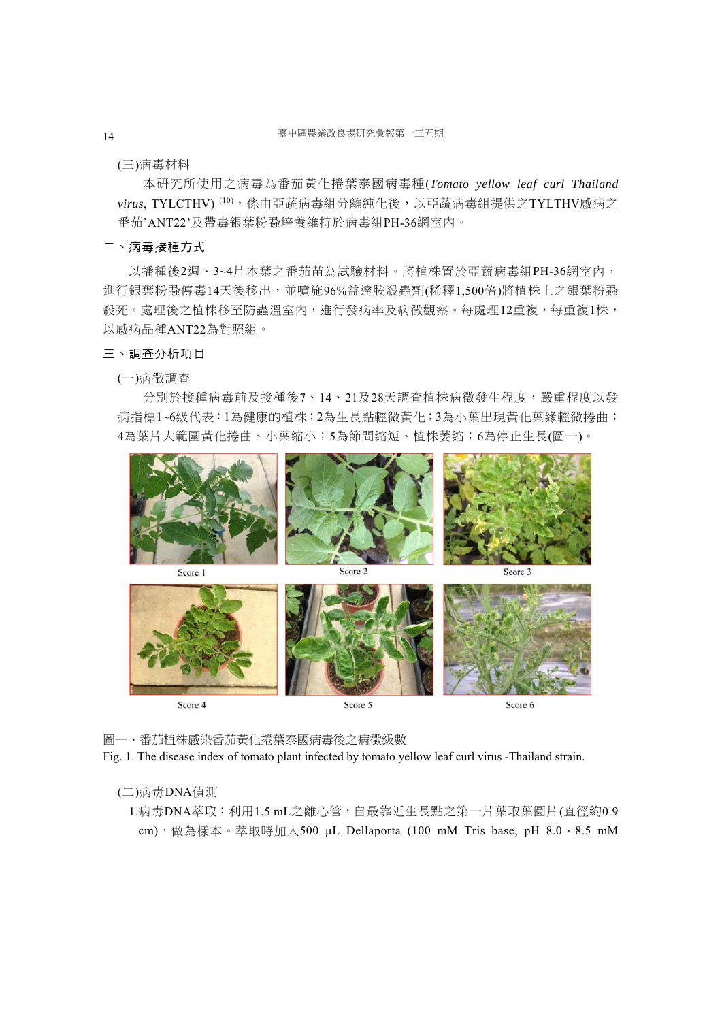#### (三)病毒材料

本研究所使用之病毒為番茄黃化捲葉泰國病毒種(*Tomato yellow leaf curl Thailand virus*, TYLCTHV) (10),係由亞蔬病毒組分離純化後,以亞蔬病毒組提供之TYLTHV感病之 番茄'ANT22'及帶毒銀葉粉蝨培養維持於病毒組PH-36網室內。

#### 二、病毒接種方式

以播種後2週、3~4片本葉之番茄苗為試驗材料。將植株置於亞蔬病毒組PH-36網室內, 進行銀葉粉蝨傳毒14天後移出,並噴施96%益達胺殺蟲劑(稀釋1,500倍)將植株上之銀葉粉蝨 殺死。處理後之植株移至防蟲溫室內,進行發病率及病徵觀察。每處理12重複,每重複1株, 以感病品種ANT22為對照組。

#### 三、調查分析項目

(一)病徵調查

分別於接種病毒前及接種後7、14、21及28天調查植株病徵發生程度,嚴重程度以發 病指標1~6級代表:1為健康的植株;2為生長點輕微黃化;3為小葉出現黃化葉緣輕微捲曲; 4為葉片大範圍黃化捲曲、小葉縮小;5為節間縮短、植株萎縮;6為停止生長(圖一)。



圖一、番茄植株感染番茄黃化捲葉泰國病毒後之病徵級數

Fig. 1. The disease index of tomato plant infected by tomato yellow leaf curl virus -Thailand strain.

#### (二)病毒DNA偵測

1.病毒DNA萃取:利用1.5 mL之離心管,自最靠近生長點之第一片葉取葉圓片(直徑約0.9 cm),做為樣本。萃取時加入500 μL Dellaporta (100 mM Tris base, pH 8.0、8.5 mM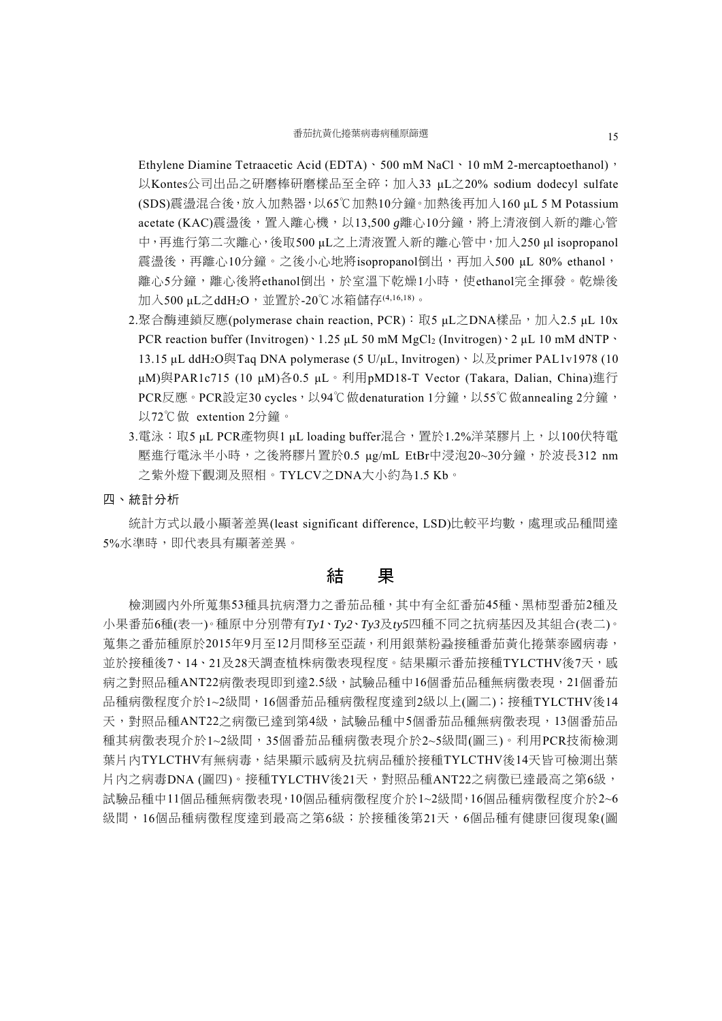#### 番茄抗黃化捲葉病毒病種原篩選 15 2000 1000 15

Ethylene Diamine Tetraacetic Acid (EDTA)、500 mM NaCl、10 mM 2-mercaptoethanol), 以Kontes公司出品之研磨棒研磨樣品至全碎;加入33 μL之20% sodium dodecyl sulfate (SDS)震盪混合後,放入加熱器,以65℃加熱10分鐘。加熱後再加入160 μL 5 M Potassium acetate (KAC)震盪後, 置入離心機, 以13,500 g離心10分鐘, 將上清液倒入新的離心管 中,再進行第二次離心,後取500 μL之上清液置入新的離心管中,加入250 μl isopropanol 震盪後,再離心10分鐘。之後小心地將isopropanol倒出,再加入500 μL 80% ethanol, 離心5分鐘,離心後將ethanol倒出,於室溫下乾燥1小時,使ethanol完全揮發。乾燥後 加入500 μL之ddH2O, 並置於-20℃冰箱儲存(4,16,18)。

- 2.聚合酶連鎖反應(polymerase chain reaction, PCR): 取5  $\mu$ L之DNA樣品, 加入2.5  $\mu$ L 10x PCR reaction buffer (Invitrogen)、1.25 μL 50 mM MgCl2 (Invitrogen)、2 μL 10 mM dNTP、 13.15 μL ddH2O與Taq DNA polymerase (5 U/μL, Invitrogen)、以及primer PAL1v1978 (10 μM)與PAR1c715 (10 μM)各0.5 μL。利用pMD18-T Vector (Takara, Dalian, China)進行 PCR反應。PCR設定30 cycles, 以94℃做denaturation 1分鐘, 以55℃做annealing 2分鐘, 以72℃做 extention 2分鐘。
- 3.電泳:取5 μL PCR產物與1 μL loading buffer混合,置於1.2%洋菜膠片上,以100伏特電 壓進行電泳半小時,之後將膠片置於0.5 μg/mL EtBr中浸泡20~30分鐘,於波長312 nm 之紫外燈下觀測及照相。TYLCV之DNA大小約為1.5 Kb。

四、統計分析

統計方式以最小顯著差異(least significant difference, LSD)比較平均數,處理或品種間達 5%水準時,即代表具有顯著差異。

### 結 果

檢測國內外所蒐集53種具抗病潛力之番茄品種,其中有全紅番茄45種、黑柿型番茄2種及 小果番茄6種(表一)。種原中分別帶有*Ty1*、*Ty2*、*Ty3*及*ty5*四種不同之抗病基因及其組合(表二)。 蒐集之番茄種原於2015年9月至12月間移至亞蔬,利用銀葉粉蝨接種番茄黃化捲葉泰國病毒, 並於接種後7、14、21及28天調查植株病徵表現程度。結果顯示番茄接種TYLCTHV後7天,感 病之對照品種ANT22病徵表現即到達2.5級,試驗品種中16個番茄品種無病徵表現,21個番茄 品種病徵程度介於1~2級間,16個番茄品種病徵程度達到2級以上(圖二);接種TYLCTHV後14 天,對照品種ANT22之病徵已達到第4級,試驗品種中5個番茄品種無病徵表現,13個番茄品 種其病徵表現介於1~2級間,35個番茄品種病徵表現介於2~5級間(圖三)。利用PCR技術檢測 葉片內TYLCTHV有無病毒,結果顯示感病及抗病品種於接種TYLCTHV後14天皆可檢測出葉 片內之病毒DNA (圖四)。接種TYLCTHV後21天,對照品種ANT22之病徵已達最高之第6級, 試驗品種中11個品種無病徵表現,10個品種病徵程度介於1~2級間,16個品種病徵程度介於2~6 級間,16個品種病徵程度達到最高之第6級;於接種後第21天,6個品種有健康回復現象(圖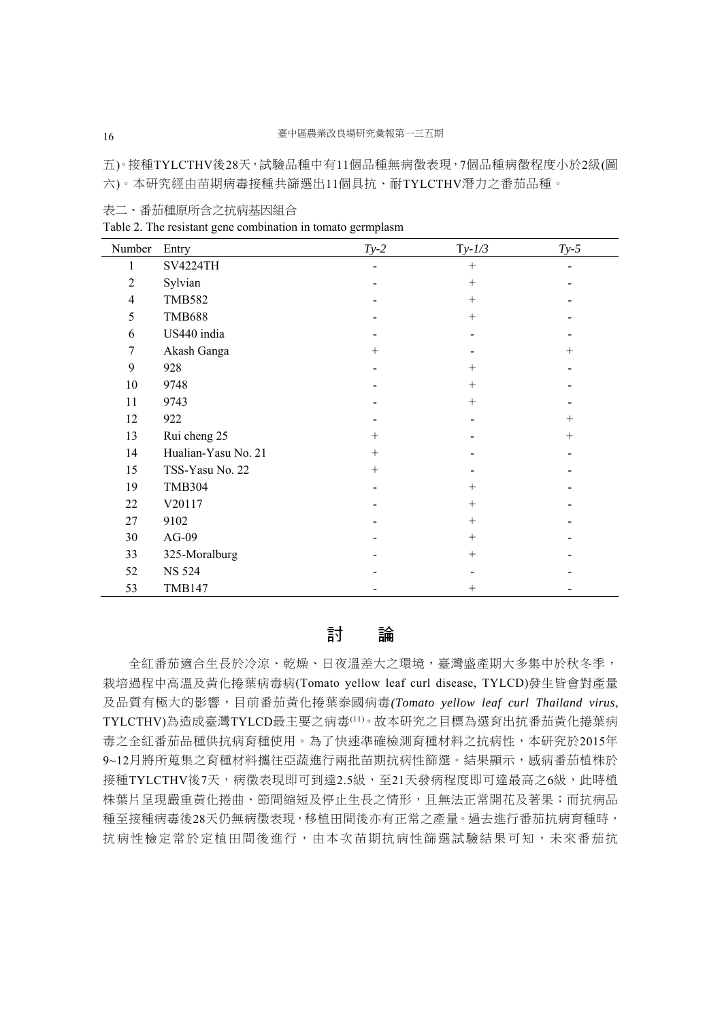五)。接種TYLCTHV後28天,試驗品種中有11個品種無病徵表現,7個品種病徵程度小於2級(圖

六)。本研究經由苗期病毒接種共篩選出11個具抗、耐TYLCTHV潛力之番茄品種。

表二、番茄種原所含之抗病基因組合

Table 2. The resistant gene combination in tomato germplasm

| Number         | Entry               | $Ty-2$ | $Ty-1/3$ | $Ty-5$ |
|----------------|---------------------|--------|----------|--------|
| 1              | <b>SV4224TH</b>     |        | $^{+}$   |        |
| $\overline{2}$ | Sylvian             |        | $+$      |        |
| 4              | <b>TMB582</b>       |        | $+$      |        |
| 5              | <b>TMB688</b>       |        | $^{+}$   |        |
| 6              | US440 india         |        |          |        |
| 7              | Akash Ganga         | $^{+}$ |          | $^{+}$ |
| 9              | 928                 |        | $+$      |        |
| 10             | 9748                |        | $^{+}$   |        |
| 11             | 9743                |        | $+$      |        |
| 12             | 922                 |        |          | $+$    |
| 13             | Rui cheng 25        | $^{+}$ |          | $+$    |
| 14             | Hualian-Yasu No. 21 | $^{+}$ |          |        |
| 15             | TSS-Yasu No. 22     | $^{+}$ |          |        |
| 19             | <b>TMB304</b>       |        | $+$      |        |
| 22             | V20117              |        | $+$      |        |
| 27             | 9102                |        | $+$      |        |
| 30             | $AG-09$             |        | $^{+}$   |        |
| 33             | 325-Moralburg       |        | $^{+}$   |        |
| 52             | <b>NS 524</b>       |        |          |        |
| 53             | <b>TMB147</b>       |        | $^{+}$   |        |

#### 討 論

全紅番茄適合生長於冷涼、乾燥、日夜溫差大之環境,臺灣盛產期大多集中於秋冬季, 栽培過程中高溫及黃化捲葉病毒病(Tomato yellow leaf curl disease, TYLCD)發生皆會對產量 及品質有極大的影響,目前番茄黃化捲葉泰國病毒*(Tomato yellow leaf curl Thailand virus*, TYLCTHV)為造成臺灣TYLCD最主要之病毒(11)。故本研究之目標為選育出抗番茄黃化捲葉病 毒之全紅番茄品種供抗病育種使用。為了快速準確檢測育種材料之抗病性,本研究於2015年 9~12月將所蒐集之育種材料攜往亞蔬進行兩批苗期抗病性篩選。結果顯示,感病番茄植株於 接種TYLCTHV後7天,病徵表現即可到達2.5級,至21天發病程度即可達最高之6級,此時植 株葉片呈現嚴重黃化捲曲、節間縮短及停止生長之情形,且無法正常開花及著果;而抗病品 種至接種病毒後28天仍無病徵表現,移植田間後亦有正常之產量。過去進行番茄抗病育種時, 抗病性檢定常於定植田間後進行,由本次苗期抗病性篩選試驗結果可知,未來番茄抗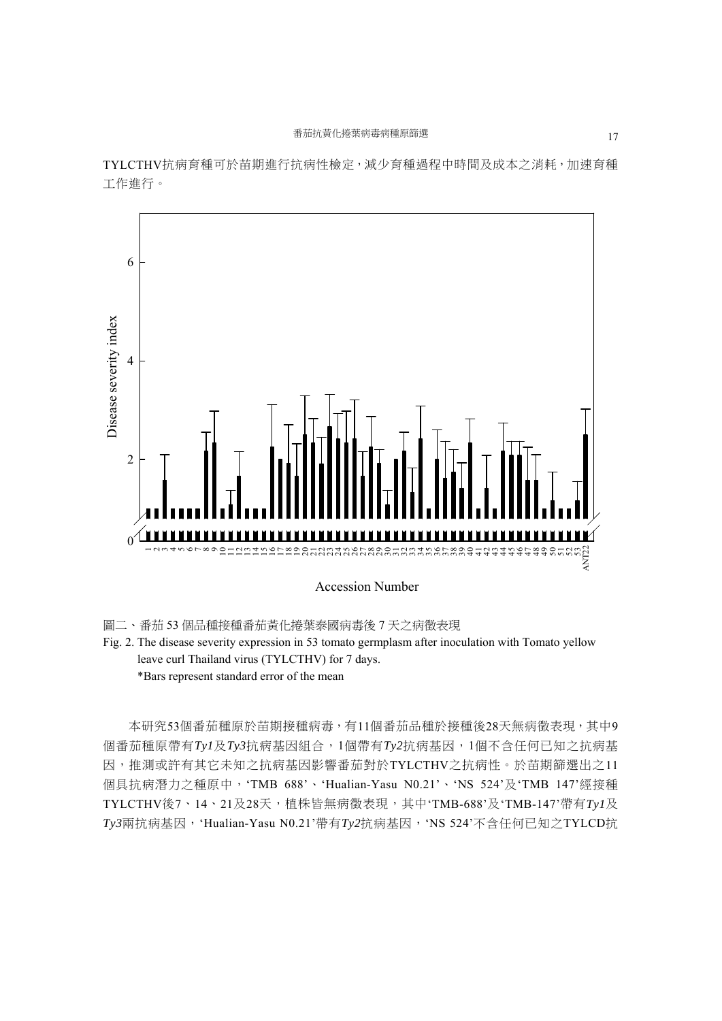TYLCTHV抗病育種可於苗期進行抗病性檢定,減少育種過程中時間及成本之消耗,加速育種 工作進行。



圖二、番茄 53 個品種接種番茄黃化捲葉泰國病毒後 7 天之病徵表現

Fig. 2. The disease severity expression in 53 tomato germplasm after inoculation with Tomato yellow leave curl Thailand virus (TYLCTHV) for 7 days. \*Bars represent standard error of the mean

本研究53個番茄種原於苗期接種病毒,有11個番茄品種於接種後28天無病徵表現,其中9 個番茄種原帶有*Ty1*及*Ty3*抗病基因組合,1個帶有*Ty2*抗病基因,1個不含任何已知之抗病基 因,推測或許有其它未知之抗病基因影響番茄對於TYLCTHV之抗病性。於苗期篩選出之11 個具抗病潛力之種原中,'TMB 688'、'Hualian-Yasu N0.21'、'NS 524'及'TMB 147'經接種 TYLCTHV後7、14、21及28天,植株皆無病徵表現,其中'TMB-688'及'TMB-147'帶有*Ty1*及 *Ty3*兩抗病基因,'Hualian-Yasu N0.21'帶有*Ty2*抗病基因,'NS 524'不含任何已知之TYLCD抗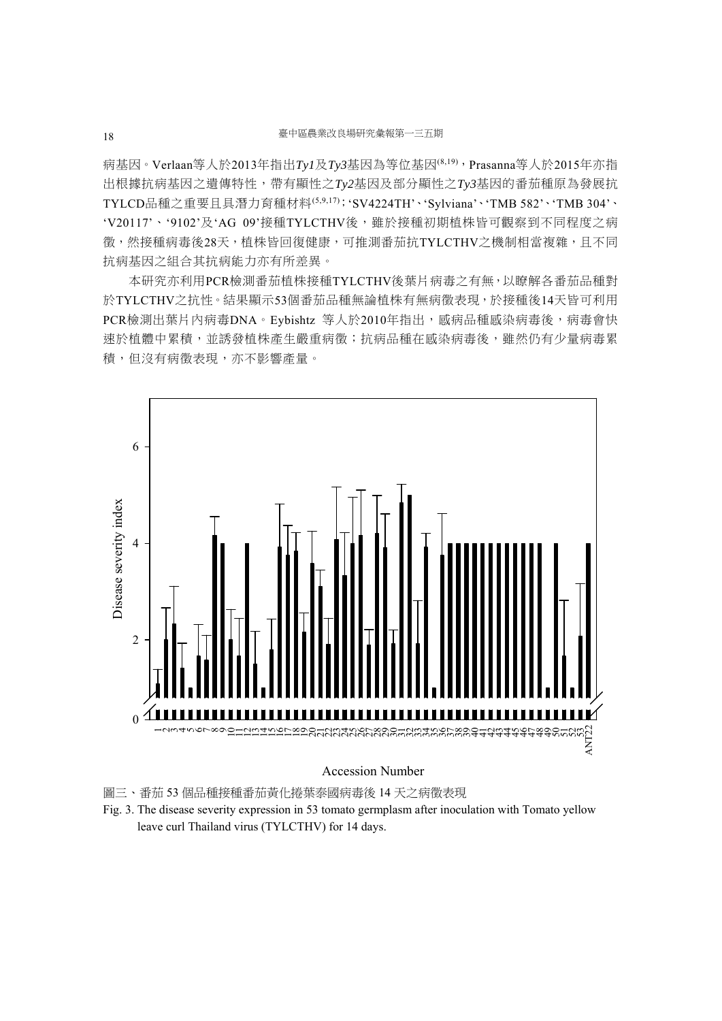病基因。Verlaan等人於2013年指出*Ty1*及*Ty3*基因為等位基因(8,19),Prasanna等人於2015年亦指 出根據抗病基因之遺傳特性,帶有顯性之*Ty2*基因及部分顯性之*Ty3*基因的番茄種原為發展抗 TYLCD品種之重要且具潛力育種材料(5,9,17);'SV4224TH'、'Sylviana'、'TMB 582'、'TMB 304'、 'V20117'、'9102'及'AG 09'接種TYLCTHV後,雖於接種初期植株皆可觀察到不同程度之病 徵,然接種病毒後28天,植株皆回復健康,可推測番茄抗TYLCTHV之機制相當複雜,且不同 抗病基因之組合其抗病能力亦有所差異。

本研究亦利用PCR檢測番茄植株接種TYLCTHV後葉片病毒之有無,以瞭解各番茄品種對 於TYLCTHV之抗性。結果顯示53個番茄品種無論植株有無病徵表現,於接種後14天皆可利用 PCR檢測出葉片內病毒DNA。Eybishtz 等人於2010年指出,感病品種感染病毒後,病毒會快 速於植體中累積,並誘發植株產生嚴重病徵;抗病品種在感染病毒後,雖然仍有少量病毒累 積,但沒有病徵表現,亦不影響產量。



#### Accession Number

圖三、番茄 53 個品種接種番茄黃化捲葉泰國病毒後 14 天之病徵表現

Fig. 3. The disease severity expression in 53 tomato germplasm after inoculation with Tomato yellow leave curl Thailand virus (TYLCTHV) for 14 days.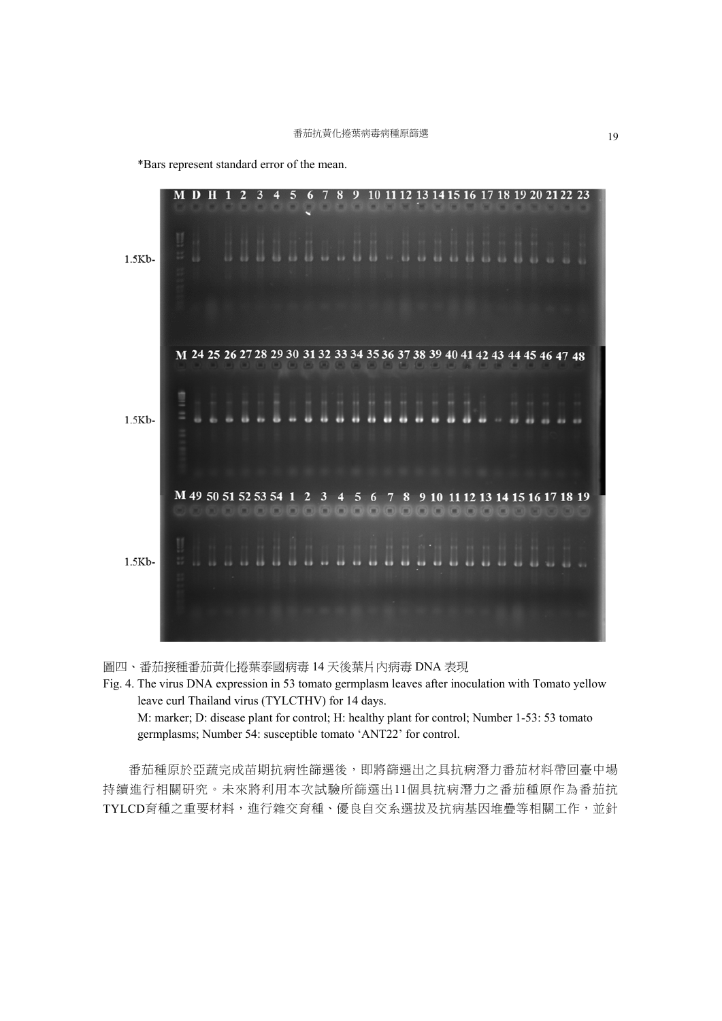\*Bars represent standard error of the mean.



圖四、番茄接種番茄黃化捲葉泰國病毒 14 天後葉片內病毒 DNA 表現

Fig. 4. The virus DNA expression in 53 tomato germplasm leaves after inoculation with Tomato yellow leave curl Thailand virus (TYLCTHV) for 14 days. M: marker; D: disease plant for control; H: healthy plant for control; Number 1-53: 53 tomato germplasms; Number 54: susceptible tomato 'ANT22' for control.

番茄種原於亞蔬完成苗期抗病性篩選後,即將篩選出之具抗病潛力番茄材料帶回臺中場 持續進行相關研究。未來將利用本次試驗所篩選出11個具抗病潛力之番茄種原作為番茄抗 TYLCD育種之重要材料,進行雜交育種、優良自交系選拔及抗病基因堆疊等相關工作,並針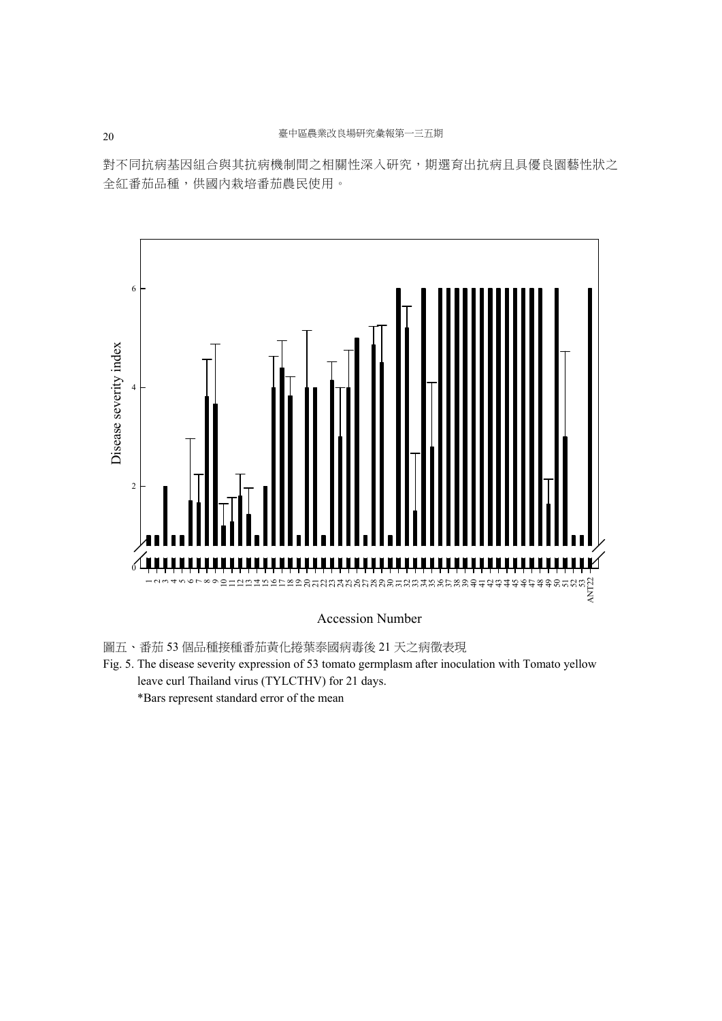對不同抗病基因組合與其抗病機制間之相關性深入研究,期選育出抗病且具優良園藝性狀之 全紅番茄品種,供國內栽培番茄農民使用。



#### Accession Number

- 圖五、番茄 53 個品種接種番茄黃化捲葉泰國病毒後 21 天之病徵表現
- Fig. 5. The disease severity expression of 53 tomato germplasm after inoculation with Tomato yellow leave curl Thailand virus (TYLCTHV) for 21 days.

\*Bars represent standard error of the mean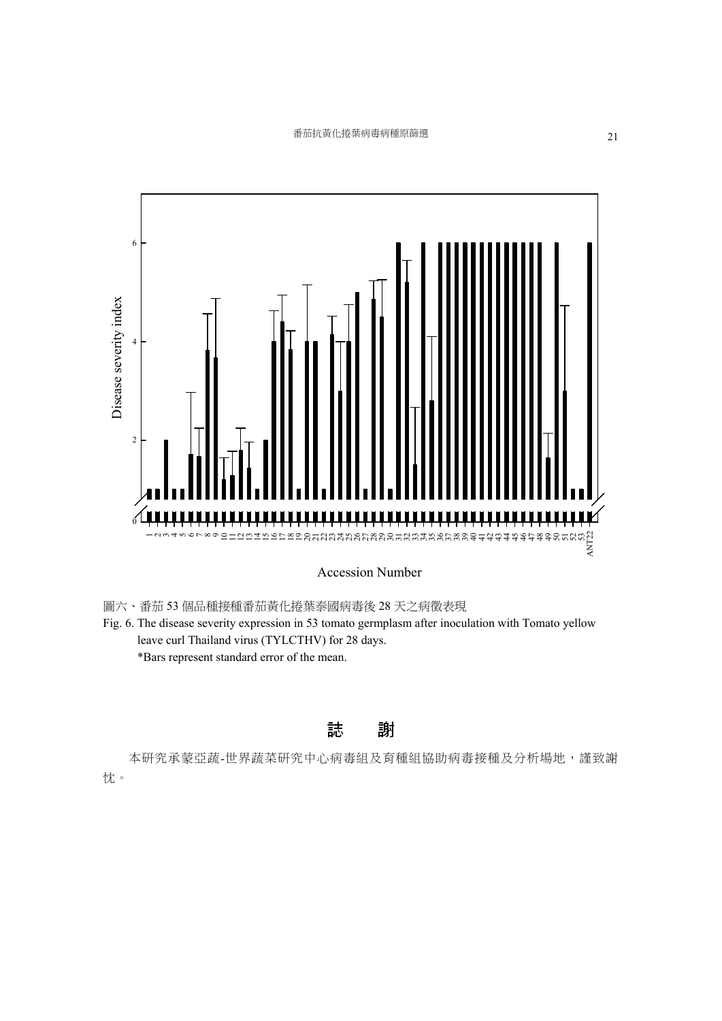番茄抗黃化捲葉病毒病種原篩選 21



#### Accession Number

圖六、番茄 53 個品種接種番茄黃化捲葉泰國病毒後 28 天之病徵表現

Fig. 6. The disease severity expression in 53 tomato germplasm after inoculation with Tomato yellow leave curl Thailand virus (TYLCTHV) for 28 days. \*Bars represent standard error of the mean.

# 誌 謝

本研究承蒙亞蔬-世界蔬菜研究中心病毒組及育種組協助病毒接種及分析場地,謹致謝 忱。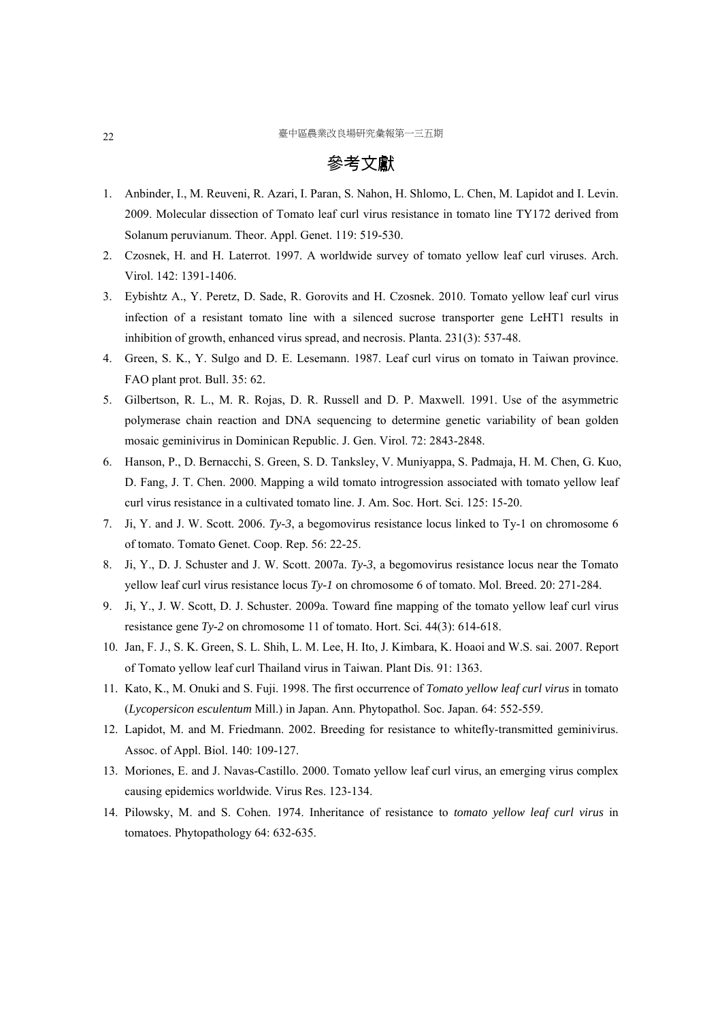### 參考文獻

- 1. Anbinder, I., M. Reuveni, R. Azari, I. Paran, S. Nahon, H. Shlomo, L. Chen, M. Lapidot and I. Levin. 2009. Molecular dissection of Tomato leaf curl virus resistance in tomato line TY172 derived from Solanum peruvianum. Theor. Appl. Genet. 119: 519-530.
- 2. Czosnek, H. and H. Laterrot. 1997. A worldwide survey of tomato yellow leaf curl viruses. Arch. Virol. 142: 1391-1406.
- 3. Eybishtz A., Y. Peretz, D. Sade, R. Gorovits and H. Czosnek. 2010. Tomato yellow leaf curl virus infection of a resistant tomato line with a silenced sucrose transporter gene LeHT1 results in inhibition of growth, enhanced virus spread, and necrosis. Planta. 231(3): 537-48.
- 4. Green, S. K., Y. Sulgo and D. E. Lesemann. 1987. Leaf curl virus on tomato in Taiwan province. FAO plant prot. Bull. 35: 62.
- 5. Gilbertson, R. L., M. R. Rojas, D. R. Russell and D. P. Maxwell. 1991. Use of the asymmetric polymerase chain reaction and DNA sequencing to determine genetic variability of bean golden mosaic geminivirus in Dominican Republic. J. Gen. Virol. 72: 2843-2848.
- 6. Hanson, P., D. Bernacchi, S. Green, S. D. Tanksley, V. Muniyappa, S. Padmaja, H. M. Chen, G. Kuo, D. Fang, J. T. Chen. 2000. Mapping a wild tomato introgression associated with tomato yellow leaf curl virus resistance in a cultivated tomato line. J. Am. Soc. Hort. Sci. 125: 15-20.
- 7. Ji, Y. and J. W. Scott. 2006. *Ty-3*, a begomovirus resistance locus linked to Ty-1 on chromosome 6 of tomato. Tomato Genet. Coop. Rep. 56: 22-25.
- 8. Ji, Y., D. J. Schuster and J. W. Scott. 2007a. *Ty-3*, a begomovirus resistance locus near the Tomato yellow leaf curl virus resistance locus *Ty-1* on chromosome 6 of tomato. Mol. Breed. 20: 271-284.
- 9. Ji, Y., J. W. Scott, D. J. Schuster. 2009a. Toward fine mapping of the tomato yellow leaf curl virus resistance gene *Ty-2* on chromosome 11 of tomato. Hort. Sci. 44(3): 614-618.
- 10. Jan, F. J., S. K. Green, S. L. Shih, L. M. Lee, H. Ito, J. Kimbara, K. Hoaoi and W.S. sai. 2007. Report of Tomato yellow leaf curl Thailand virus in Taiwan. Plant Dis. 91: 1363.
- 11. Kato, K., M. Onuki and S. Fuji. 1998. The first occurrence of *Tomato yellow leaf curl virus* in tomato (*Lycopersicon esculentum* Mill.) in Japan. Ann. Phytopathol. Soc. Japan. 64: 552-559.
- 12. Lapidot, M. and M. Friedmann. 2002. Breeding for resistance to whitefly-transmitted geminivirus. Assoc. of Appl. Biol. 140: 109-127.
- 13. Moriones, E. and J. Navas-Castillo. 2000. Tomato yellow leaf curl virus, an emerging virus complex causing epidemics worldwide. Virus Res. 123-134.
- 14. Pilowsky, M. and S. Cohen. 1974. Inheritance of resistance to *tomato yellow leaf curl virus* in tomatoes. Phytopathology 64: 632-635.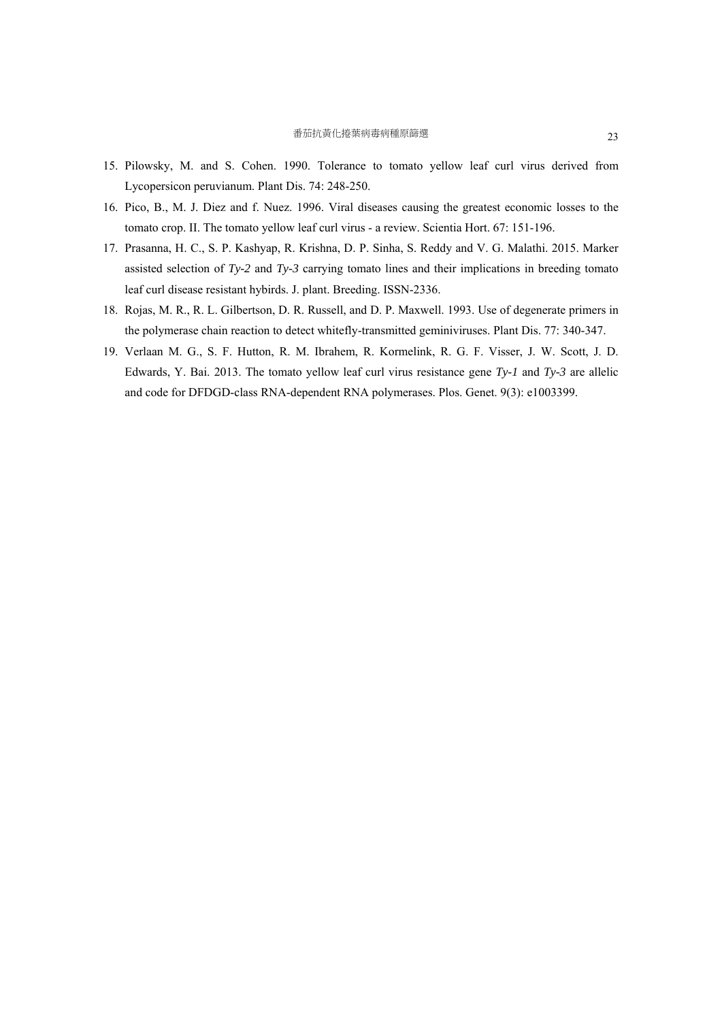- 15. Pilowsky, M. and S. Cohen. 1990. Tolerance to tomato yellow leaf curl virus derived from Lycopersicon peruvianum. Plant Dis. 74: 248-250.
- 16. Pico, B., M. J. Diez and f. Nuez. 1996. Viral diseases causing the greatest economic losses to the tomato crop. II. The tomato yellow leaf curl virus - a review. Scientia Hort. 67: 151-196.
- 17. Prasanna, H. C., S. P. Kashyap, R. Krishna, D. P. Sinha, S. Reddy and V. G. Malathi. 2015. Marker assisted selection of *Ty-2* and *Ty-3* carrying tomato lines and their implications in breeding tomato leaf curl disease resistant hybirds. J. plant. Breeding. ISSN-2336.
- 18. Rojas, M. R., R. L. Gilbertson, D. R. Russell, and D. P. Maxwell. 1993. Use of degenerate primers in the polymerase chain reaction to detect whitefly-transmitted geminiviruses. Plant Dis. 77: 340-347.
- 19. Verlaan M. G., S. F. Hutton, R. M. Ibrahem, R. Kormelink, R. G. F. Visser, J. W. Scott, J. D. Edwards, Y. Bai. 2013. The tomato yellow leaf curl virus resistance gene *Ty-1* and *Ty-3* are allelic and code for DFDGD-class RNA-dependent RNA polymerases. Plos. Genet. 9(3): e1003399.